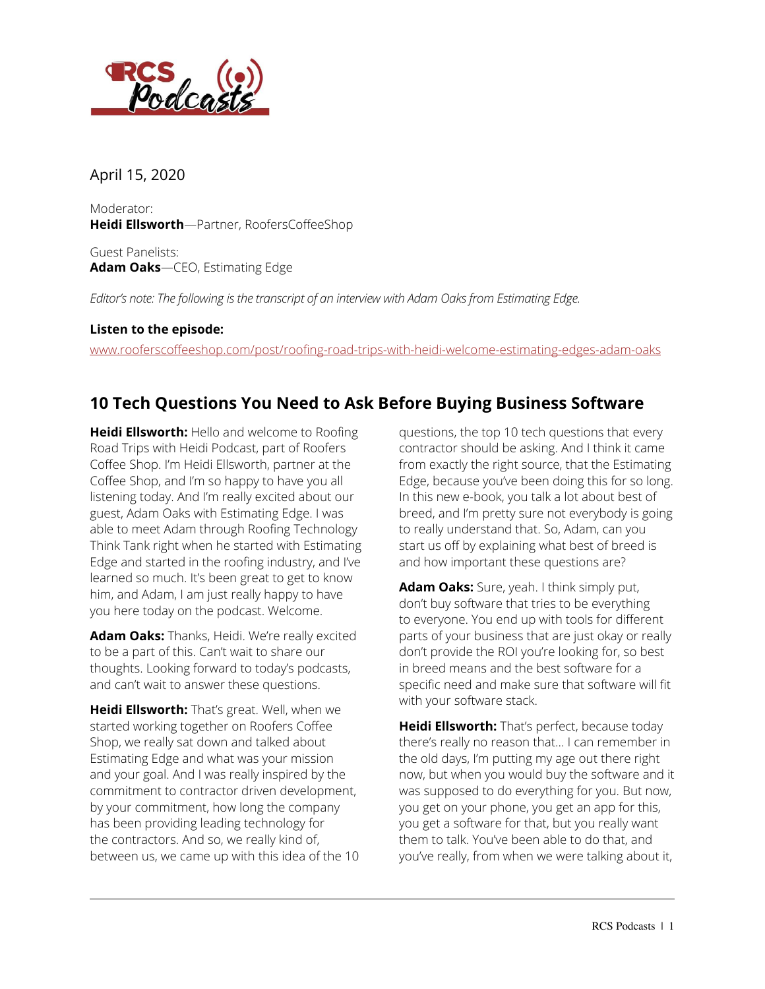

April 15, 2020

Moderator: **Heidi Ellsworth**—Partner, RoofersCoffeeShop

Guest Panelists: **Adam Oaks**—CEO, Estimating Edge

*Editor's note: The following is the transcript of an interview with Adam Oaks from Estimating Edge.*

## **Listen to the episode:**

[www.rooferscoffeeshop.com/post/roofing-road-trips-with-heidi-welcome-estimating-edges-adam-oaks](https://www.rooferscoffeeshop.com/post/roofing-road-trips-with-heidi-welcome-estimating-edges-adam-oaks)

## **10 Tech Questions You Need to Ask Before Buying Business Software**

**Heidi Ellsworth:** Hello and welcome to Roofing Road Trips with Heidi Podcast, part of Roofers Coffee Shop. I'm Heidi Ellsworth, partner at the Coffee Shop, and I'm so happy to have you all listening today. And I'm really excited about our guest, Adam Oaks with Estimating Edge. I was able to meet Adam through Roofing Technology Think Tank right when he started with Estimating Edge and started in the roofing industry, and I've learned so much. It's been great to get to know him, and Adam, I am just really happy to have you here today on the podcast. Welcome.

**Adam Oaks:** Thanks, Heidi. We're really excited to be a part of this. Can't wait to share our thoughts. Looking forward to today's podcasts, and can't wait to answer these questions.

**Heidi Ellsworth:** That's great. Well, when we started working together on Roofers Coffee Shop, we really sat down and talked about Estimating Edge and what was your mission and your goal. And I was really inspired by the commitment to contractor driven development, by your commitment, how long the company has been providing leading technology for the contractors. And so, we really kind of, between us, we came up with this idea of the 10

questions, the top 10 tech questions that every contractor should be asking. And I think it came from exactly the right source, that the Estimating Edge, because you've been doing this for so long. In this new e-book, you talk a lot about best of breed, and I'm pretty sure not everybody is going to really understand that. So, Adam, can you start us off by explaining what best of breed is and how important these questions are?

**Adam Oaks:** Sure, yeah. I think simply put, don't buy software that tries to be everything to everyone. You end up with tools for different parts of your business that are just okay or really don't provide the ROI you're looking for, so best in breed means and the best software for a specific need and make sure that software will fit with your software stack.

**Heidi Ellsworth:** That's perfect, because today there's really no reason that... I can remember in the old days, I'm putting my age out there right now, but when you would buy the software and it was supposed to do everything for you. But now, you get on your phone, you get an app for this, you get a software for that, but you really want them to talk. You've been able to do that, and you've really, from when we were talking about it,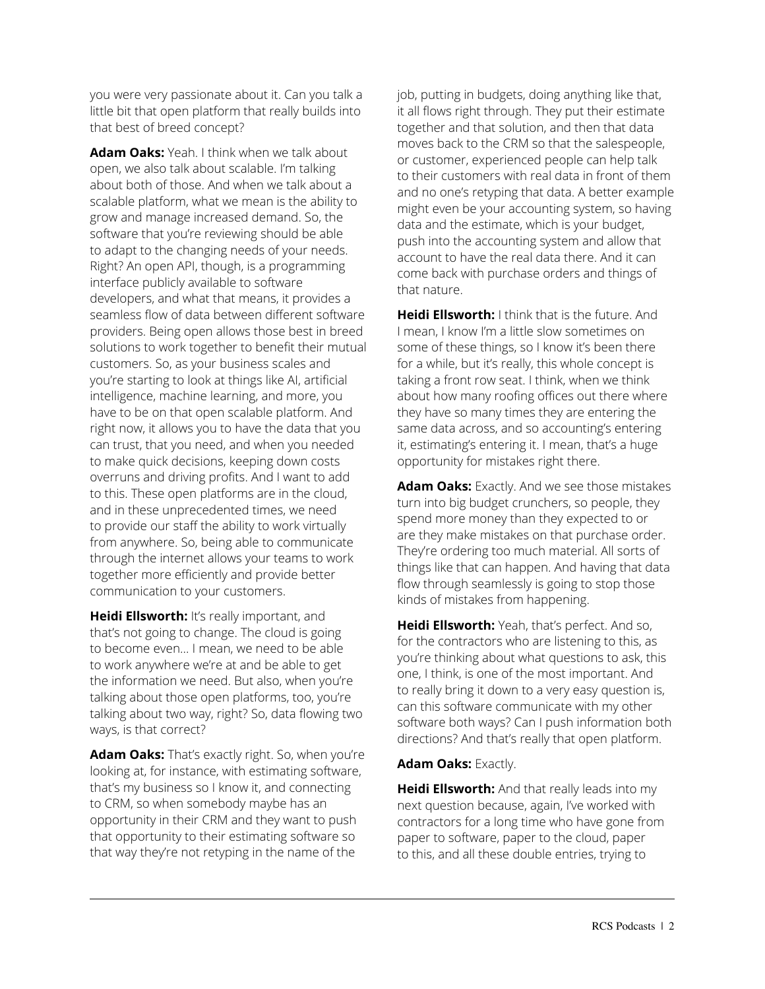you were very passionate about it. Can you talk a little bit that open platform that really builds into that best of breed concept?

**Adam Oaks:** Yeah. I think when we talk about open, we also talk about scalable. I'm talking about both of those. And when we talk about a scalable platform, what we mean is the ability to grow and manage increased demand. So, the software that you're reviewing should be able to adapt to the changing needs of your needs. Right? An open API, though, is a programming interface publicly available to software developers, and what that means, it provides a seamless flow of data between different software providers. Being open allows those best in breed solutions to work together to benefit their mutual customers. So, as your business scales and you're starting to look at things like AI, artificial intelligence, machine learning, and more, you have to be on that open scalable platform. And right now, it allows you to have the data that you can trust, that you need, and when you needed to make quick decisions, keeping down costs overruns and driving profits. And I want to add to this. These open platforms are in the cloud, and in these unprecedented times, we need to provide our staff the ability to work virtually from anywhere. So, being able to communicate through the internet allows your teams to work together more efficiently and provide better communication to your customers.

**Heidi Ellsworth:** It's really important, and that's not going to change. The cloud is going to become even... I mean, we need to be able to work anywhere we're at and be able to get the information we need. But also, when you're talking about those open platforms, too, you're talking about two way, right? So, data flowing two ways, is that correct?

**Adam Oaks:** That's exactly right. So, when you're looking at, for instance, with estimating software, that's my business so I know it, and connecting to CRM, so when somebody maybe has an opportunity in their CRM and they want to push that opportunity to their estimating software so that way they're not retyping in the name of the

job, putting in budgets, doing anything like that, it all flows right through. They put their estimate together and that solution, and then that data moves back to the CRM so that the salespeople, or customer, experienced people can help talk to their customers with real data in front of them and no one's retyping that data. A better example might even be your accounting system, so having data and the estimate, which is your budget, push into the accounting system and allow that account to have the real data there. And it can come back with purchase orders and things of that nature.

**Heidi Ellsworth:** I think that is the future. And I mean, I know I'm a little slow sometimes on some of these things, so I know it's been there for a while, but it's really, this whole concept is taking a front row seat. I think, when we think about how many roofing offices out there where they have so many times they are entering the same data across, and so accounting's entering it, estimating's entering it. I mean, that's a huge opportunity for mistakes right there.

**Adam Oaks:** Exactly. And we see those mistakes turn into big budget crunchers, so people, they spend more money than they expected to or are they make mistakes on that purchase order. They're ordering too much material. All sorts of things like that can happen. And having that data flow through seamlessly is going to stop those kinds of mistakes from happening.

**Heidi Ellsworth:** Yeah, that's perfect. And so, for the contractors who are listening to this, as you're thinking about what questions to ask, this one, I think, is one of the most important. And to really bring it down to a very easy question is, can this software communicate with my other software both ways? Can I push information both directions? And that's really that open platform.

## **Adam Oaks:** Exactly.

**Heidi Ellsworth:** And that really leads into my next question because, again, I've worked with contractors for a long time who have gone from paper to software, paper to the cloud, paper to this, and all these double entries, trying to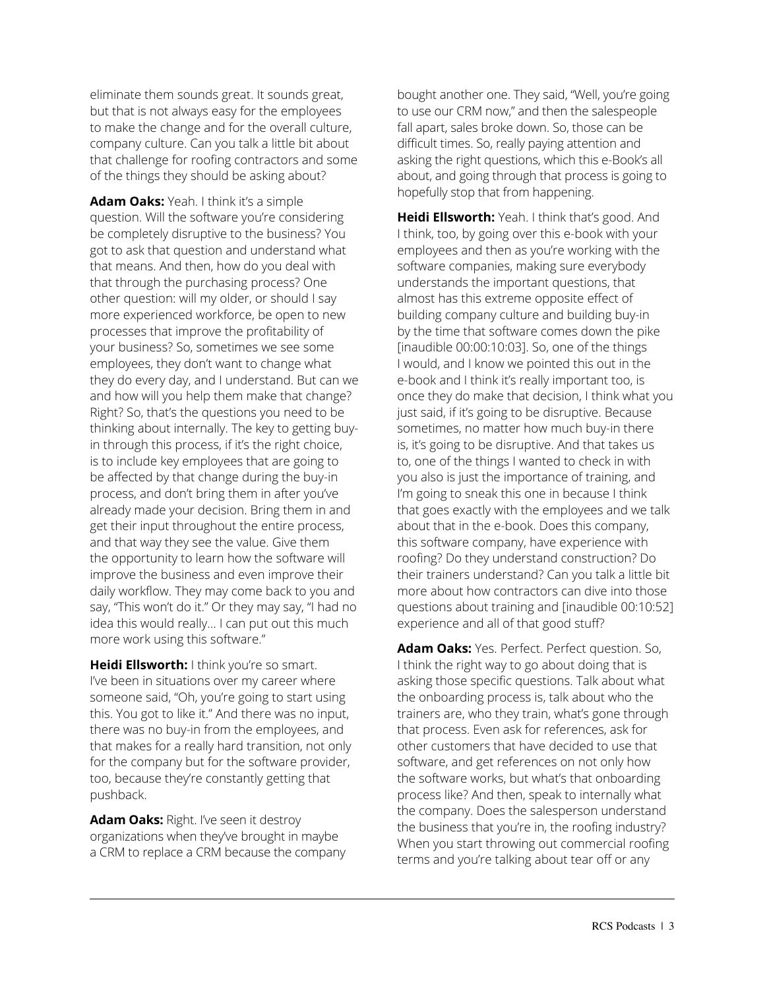eliminate them sounds great. It sounds great, but that is not always easy for the employees to make the change and for the overall culture, company culture. Can you talk a little bit about that challenge for roofing contractors and some of the things they should be asking about?

**Adam Oaks:** Yeah. I think it's a simple question. Will the software you're considering be completely disruptive to the business? You got to ask that question and understand what that means. And then, how do you deal with that through the purchasing process? One other question: will my older, or should I say more experienced workforce, be open to new processes that improve the profitability of your business? So, sometimes we see some employees, they don't want to change what they do every day, and I understand. But can we and how will you help them make that change? Right? So, that's the questions you need to be thinking about internally. The key to getting buyin through this process, if it's the right choice, is to include key employees that are going to be affected by that change during the buy-in process, and don't bring them in after you've already made your decision. Bring them in and get their input throughout the entire process, and that way they see the value. Give them the opportunity to learn how the software will improve the business and even improve their daily workflow. They may come back to you and say, "This won't do it." Or they may say, "I had no idea this would really... I can put out this much more work using this software."

**Heidi Ellsworth:** I think you're so smart. I've been in situations over my career where someone said, "Oh, you're going to start using this. You got to like it." And there was no input, there was no buy-in from the employees, and that makes for a really hard transition, not only for the company but for the software provider, too, because they're constantly getting that pushback.

**Adam Oaks:** Right. I've seen it destroy organizations when they've brought in maybe a CRM to replace a CRM because the company bought another one. They said, "Well, you're going to use our CRM now," and then the salespeople fall apart, sales broke down. So, those can be difficult times. So, really paying attention and asking the right questions, which this e-Book's all about, and going through that process is going to hopefully stop that from happening.

**Heidi Ellsworth:** Yeah. I think that's good. And I think, too, by going over this e-book with your employees and then as you're working with the software companies, making sure everybody understands the important questions, that almost has this extreme opposite effect of building company culture and building buy-in by the time that software comes down the pike [inaudible 00:00:10:03]. So, one of the things I would, and I know we pointed this out in the e-book and I think it's really important too, is once they do make that decision, I think what you just said, if it's going to be disruptive. Because sometimes, no matter how much buy-in there is, it's going to be disruptive. And that takes us to, one of the things I wanted to check in with you also is just the importance of training, and I'm going to sneak this one in because I think that goes exactly with the employees and we talk about that in the e-book. Does this company, this software company, have experience with roofing? Do they understand construction? Do their trainers understand? Can you talk a little bit more about how contractors can dive into those questions about training and [inaudible 00:10:52] experience and all of that good stuff?

**Adam Oaks:** Yes. Perfect. Perfect question. So, I think the right way to go about doing that is asking those specific questions. Talk about what the onboarding process is, talk about who the trainers are, who they train, what's gone through that process. Even ask for references, ask for other customers that have decided to use that software, and get references on not only how the software works, but what's that onboarding process like? And then, speak to internally what the company. Does the salesperson understand the business that you're in, the roofing industry? When you start throwing out commercial roofing terms and you're talking about tear off or any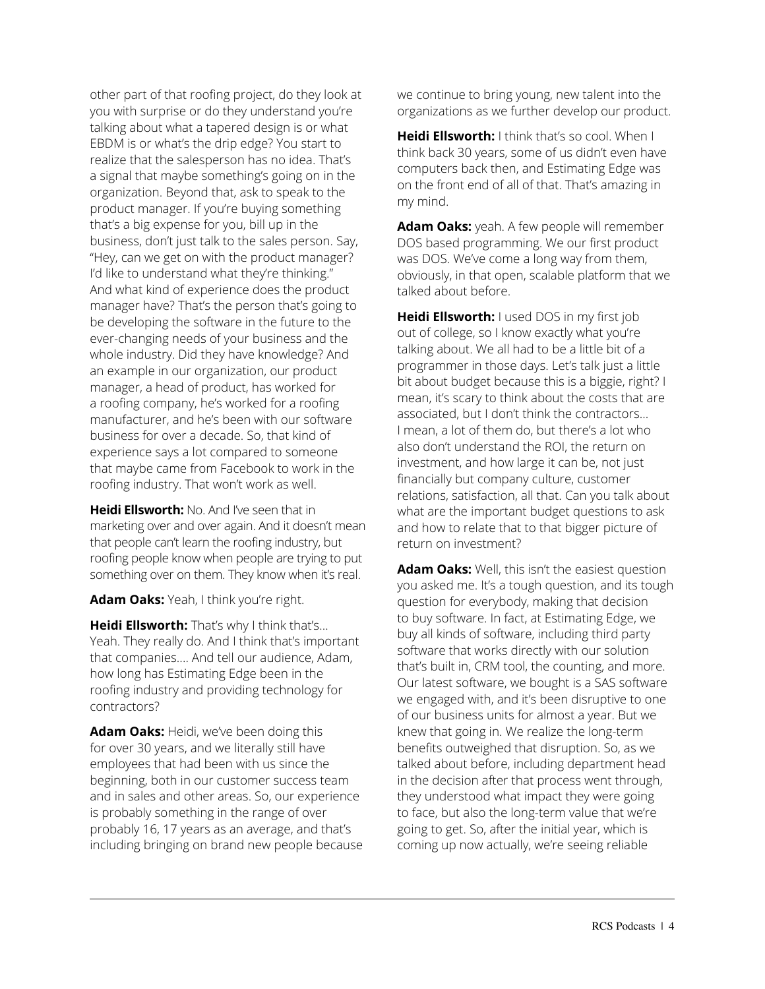other part of that roofing project, do they look at you with surprise or do they understand you're talking about what a tapered design is or what EBDM is or what's the drip edge? You start to realize that the salesperson has no idea. That's a signal that maybe something's going on in the organization. Beyond that, ask to speak to the product manager. If you're buying something that's a big expense for you, bill up in the business, don't just talk to the sales person. Say, "Hey, can we get on with the product manager? I'd like to understand what they're thinking." And what kind of experience does the product manager have? That's the person that's going to be developing the software in the future to the ever-changing needs of your business and the whole industry. Did they have knowledge? And an example in our organization, our product manager, a head of product, has worked for a roofing company, he's worked for a roofing manufacturer, and he's been with our software business for over a decade. So, that kind of experience says a lot compared to someone that maybe came from Facebook to work in the roofing industry. That won't work as well.

**Heidi Ellsworth:** No. And I've seen that in marketing over and over again. And it doesn't mean that people can't learn the roofing industry, but roofing people know when people are trying to put something over on them. They know when it's real.

**Adam Oaks:** Yeah, I think you're right.

**Heidi Ellsworth:** That's why I think that's... Yeah. They really do. And I think that's important that companies.... And tell our audience, Adam, how long has Estimating Edge been in the roofing industry and providing technology for contractors?

**Adam Oaks:** Heidi, we've been doing this for over 30 years, and we literally still have employees that had been with us since the beginning, both in our customer success team and in sales and other areas. So, our experience is probably something in the range of over probably 16, 17 years as an average, and that's including bringing on brand new people because we continue to bring young, new talent into the organizations as we further develop our product.

**Heidi Ellsworth:** I think that's so cool. When I think back 30 years, some of us didn't even have computers back then, and Estimating Edge was on the front end of all of that. That's amazing in my mind.

**Adam Oaks:** yeah. A few people will remember DOS based programming. We our first product was DOS. We've come a long way from them, obviously, in that open, scalable platform that we talked about before.

**Heidi Ellsworth:** I used DOS in my first job out of college, so I know exactly what you're talking about. We all had to be a little bit of a programmer in those days. Let's talk just a little bit about budget because this is a biggie, right? I mean, it's scary to think about the costs that are associated, but I don't think the contractors... I mean, a lot of them do, but there's a lot who also don't understand the ROI, the return on investment, and how large it can be, not just financially but company culture, customer relations, satisfaction, all that. Can you talk about what are the important budget questions to ask and how to relate that to that bigger picture of return on investment?

**Adam Oaks:** Well, this isn't the easiest question you asked me. It's a tough question, and its tough question for everybody, making that decision to buy software. In fact, at Estimating Edge, we buy all kinds of software, including third party software that works directly with our solution that's built in, CRM tool, the counting, and more. Our latest software, we bought is a SAS software we engaged with, and it's been disruptive to one of our business units for almost a year. But we knew that going in. We realize the long-term benefits outweighed that disruption. So, as we talked about before, including department head in the decision after that process went through, they understood what impact they were going to face, but also the long-term value that we're going to get. So, after the initial year, which is coming up now actually, we're seeing reliable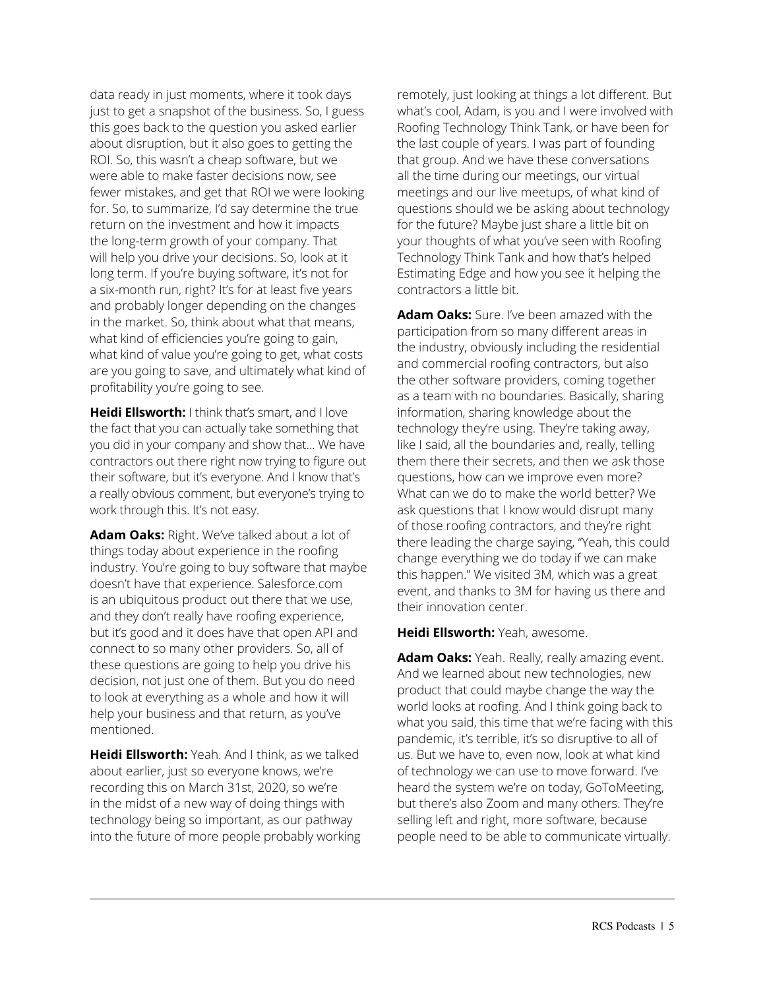data ready in just moments, where it took days just to get a snapshot of the business. So, I guess this goes back to the question you asked earlier about disruption, but it also goes to getting the ROI. So, this wasn't a cheap software, but we were able to make faster decisions now, see fewer mistakes, and get that ROI we were looking for. So, to summarize, I'd say determine the true return on the investment and how it impacts the long-term growth of your company. That will help you drive your decisions. So, look at it long term. If you're buying software, it's not for a six-month run, right? It's for at least five years and probably longer depending on the changes in the market. So, think about what that means, what kind of efficiencies you're going to gain, what kind of value you're going to get, what costs are you going to save, and ultimately what kind of profitability you're going to see.

**Heidi Ellsworth:** I think that's smart, and I love the fact that you can actually take something that you did in your company and show that... We have contractors out there right now trying to figure out their software, but it's everyone. And I know that's a really obvious comment, but everyone's trying to work through this. It's not easy.

**Adam Oaks:** Right. We've talked about a lot of things today about experience in the roofing industry. You're going to buy software that maybe doesn't have that experience. Salesforce.com is an ubiquitous product out there that we use, and they don't really have roofing experience, but it's good and it does have that open API and connect to so many other providers. So, all of these questions are going to help you drive his decision, not just one of them. But you do need to look at everything as a whole and how it will help your business and that return, as you've mentioned.

**Heidi Ellsworth:** Yeah. And I think, as we talked about earlier, just so everyone knows, we're recording this on March 31st, 2020, so we're in the midst of a new way of doing things with technology being so important, as our pathway into the future of more people probably working

remotely, just looking at things a lot different. But what's cool, Adam, is you and I were involved with Roofing Technology Think Tank, or have been for the last couple of years. I was part of founding that group. And we have these conversations all the time during our meetings, our virtual meetings and our live meetups, of what kind of questions should we be asking about technology for the future? Maybe just share a little bit on your thoughts of what you've seen with Roofing Technology Think Tank and how that's helped Estimating Edge and how you see it helping the contractors a little bit.

**Adam Oaks:** Sure. I've been amazed with the participation from so many different areas in the industry, obviously including the residential and commercial roofing contractors, but also the other software providers, coming together as a team with no boundaries. Basically, sharing information, sharing knowledge about the technology they're using. They're taking away, like I said, all the boundaries and, really, telling them there their secrets, and then we ask those questions, how can we improve even more? What can we do to make the world better? We ask questions that I know would disrupt many of those roofing contractors, and they're right there leading the charge saying, "Yeah, this could change everything we do today if we can make this happen." We visited 3M, which was a great event, and thanks to 3M for having us there and their innovation center.

**Heidi Ellsworth:** Yeah, awesome.

**Adam Oaks:** Yeah. Really, really amazing event. And we learned about new technologies, new product that could maybe change the way the world looks at roofing. And I think going back to what you said, this time that we're facing with this pandemic, it's terrible, it's so disruptive to all of us. But we have to, even now, look at what kind of technology we can use to move forward. I've heard the system we're on today, GoToMeeting, but there's also Zoom and many others. They're selling left and right, more software, because people need to be able to communicate virtually.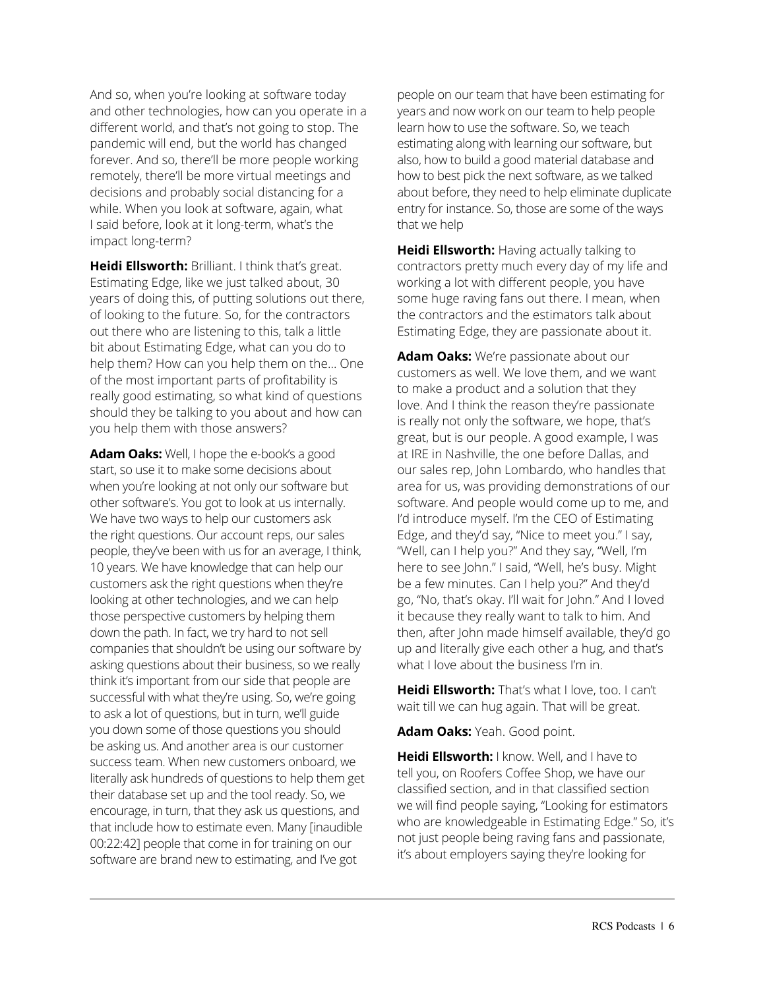And so, when you're looking at software today and other technologies, how can you operate in a different world, and that's not going to stop. The pandemic will end, but the world has changed forever. And so, there'll be more people working remotely, there'll be more virtual meetings and decisions and probably social distancing for a while. When you look at software, again, what I said before, look at it long-term, what's the impact long-term?

**Heidi Ellsworth:** Brilliant. I think that's great. Estimating Edge, like we just talked about, 30 years of doing this, of putting solutions out there, of looking to the future. So, for the contractors out there who are listening to this, talk a little bit about Estimating Edge, what can you do to help them? How can you help them on the... One of the most important parts of profitability is really good estimating, so what kind of questions should they be talking to you about and how can you help them with those answers?

**Adam Oaks:** Well, I hope the e-book's a good start, so use it to make some decisions about when you're looking at not only our software but other software's. You got to look at us internally. We have two ways to help our customers ask the right questions. Our account reps, our sales people, they've been with us for an average, I think, 10 years. We have knowledge that can help our customers ask the right questions when they're looking at other technologies, and we can help those perspective customers by helping them down the path. In fact, we try hard to not sell companies that shouldn't be using our software by asking questions about their business, so we really think it's important from our side that people are successful with what they're using. So, we're going to ask a lot of questions, but in turn, we'll guide you down some of those questions you should be asking us. And another area is our customer success team. When new customers onboard, we literally ask hundreds of questions to help them get their database set up and the tool ready. So, we encourage, in turn, that they ask us questions, and that include how to estimate even. Many [inaudible 00:22:42] people that come in for training on our software are brand new to estimating, and I've got

people on our team that have been estimating for years and now work on our team to help people learn how to use the software. So, we teach estimating along with learning our software, but also, how to build a good material database and how to best pick the next software, as we talked about before, they need to help eliminate duplicate entry for instance. So, those are some of the ways that we help

**Heidi Ellsworth:** Having actually talking to contractors pretty much every day of my life and working a lot with different people, you have some huge raving fans out there. I mean, when the contractors and the estimators talk about Estimating Edge, they are passionate about it.

**Adam Oaks:** We're passionate about our customers as well. We love them, and we want to make a product and a solution that they love. And I think the reason they're passionate is really not only the software, we hope, that's great, but is our people. A good example, I was at IRE in Nashville, the one before Dallas, and our sales rep, John Lombardo, who handles that area for us, was providing demonstrations of our software. And people would come up to me, and I'd introduce myself. I'm the CEO of Estimating Edge, and they'd say, "Nice to meet you." I say, "Well, can I help you?" And they say, "Well, I'm here to see John." I said, "Well, he's busy. Might be a few minutes. Can I help you?" And they'd go, "No, that's okay. I'll wait for John." And I loved it because they really want to talk to him. And then, after John made himself available, they'd go up and literally give each other a hug, and that's what I love about the business I'm in.

**Heidi Ellsworth:** That's what I love, too. I can't wait till we can hug again. That will be great.

**Adam Oaks:** Yeah. Good point.

**Heidi Ellsworth:** I know. Well, and I have to tell you, on Roofers Coffee Shop, we have our classified section, and in that classified section we will find people saying, "Looking for estimators who are knowledgeable in Estimating Edge." So, it's not just people being raving fans and passionate, it's about employers saying they're looking for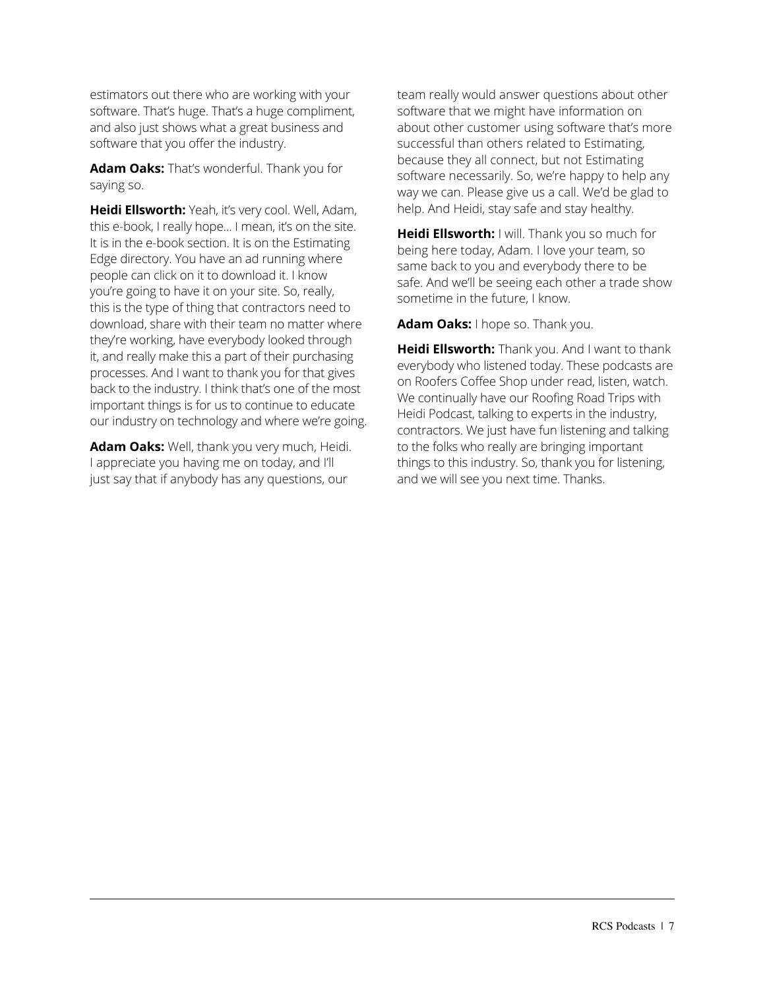estimators out there who are working with your software. That's huge. That's a huge compliment, and also just shows what a great business and software that you offer the industry.

**Adam Oaks:** That's wonderful. Thank you for saying so.

**Heidi Ellsworth:** Yeah, it's very cool. Well, Adam, this e-book, I really hope... I mean, it's on the site. It is in the e-book section. It is on the Estimating Edge directory. You have an ad running where people can click on it to download it. I know you're going to have it on your site. So, really, this is the type of thing that contractors need to download, share with their team no matter where they're working, have everybody looked through it, and really make this a part of their purchasing processes. And I want to thank you for that gives back to the industry. I think that's one of the most important things is for us to continue to educate our industry on technology and where we're going.

**Adam Oaks:** Well, thank you very much, Heidi. I appreciate you having me on today, and I'll just say that if anybody has any questions, our

team really would answer questions about other software that we might have information on about other customer using software that's more successful than others related to Estimating, because they all connect, but not Estimating software necessarily. So, we're happy to help any way we can. Please give us a call. We'd be glad to help. And Heidi, stay safe and stay healthy.

**Heidi Ellsworth:** I will. Thank you so much for being here today, Adam. I love your team, so same back to you and everybody there to be safe. And we'll be seeing each other a trade show sometime in the future, I know.

**Adam Oaks:** I hope so. Thank you.

**Heidi Ellsworth:** Thank you. And I want to thank everybody who listened today. These podcasts are on Roofers Coffee Shop under read, listen, watch. We continually have our Roofing Road Trips with Heidi Podcast, talking to experts in the industry, contractors. We just have fun listening and talking to the folks who really are bringing important things to this industry. So, thank you for listening, and we will see you next time. Thanks.